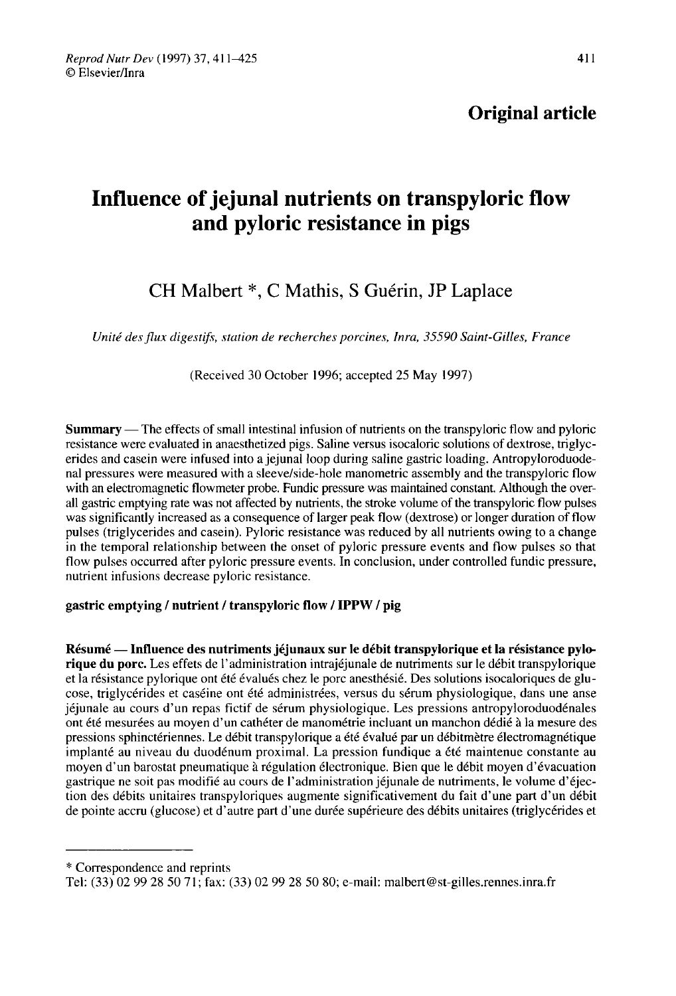Original article

# Influence of jejunal nutrients on transpyloric flow and pyloric resistance in pigs

## CH Malbert \*, C Mathis, S Guérin, JP Laplace

Unité des flux digestifs, station de recherches porcines, Inra, 35590 Saint-Gilles, France

(Received 30 October 1996; accepted 25 May 1997)

Summary ― The effects of small intestinal infusion of nutrients on the transpyloric flow and pyloric resistance were evaluated in anaesthetized pigs. Saline versus isocaloric solutions of dextrose, triglycerides and casein were infused into a jejunal loop during saline gastric loading. Antropyloroduodenal pressures were measured with a sleeve/side-hole manometric assembly and the transpyloric flow with an electromagnetic flowmeter probe. Fundic pressure was maintained constant. Although the overall gastric emptying rate was not affected by nutrients, the stroke volume of the transpyloric flow pulses was significantly increased as a consequence of larger peak flow (dextrose) or longer duration of flow pulses (triglycerides and casein). Pyloric resistance was reduced by all nutrients owing to a change in the temporal relationship between the onset of pyloric pressure events and flow pulses so that flow pulses occurred after pyloric pressure events. In conclusion, under controlled fundic pressure, nutrient infusions decrease pyloric resistance.

## gastric emptying / nutrient / transpyloric flow / IPPW / pig

Résumé ― Influence des nutriments jéjunaux sur le débit transpylorique et la résistance pylorique du porc. Les effets de l'administration intrajéjunale de nutriments sur le débit transpylorique et la résistance pylorique ont été évalués chez le porc anesthésié. Des solutions isocaloriques de glu cose, triglycérides et caséine ont été administrées, versus du sérum physiologique, dans une anse jéjunale au cours d'un repas fictif de sérum physiologique. Les pressions antropyloroduodénales ont été mesurées au moyen d'un cathéter de manométrie incluant un manchon dédié à la mesure des pressions sphinctériennes. Le débit transpylorique a été évalué par un débitmètre électromagnétique implanté au niveau du duodénum proximal. La pression fundique a été maintenue constante au moyen d'un barostat pneumatique à régulation électronique. Bien que le débit moyen d'évacuation gastrique ne soit pas modifié au cours de l'administration jéjunale de nutriments, le volume d'éjection des débits unitaires transpyloriques augmente significativement du fait d'une part d'un débit de pointe accru (glucose) et d'autre part d'une durée supérieure des débits unitaires (triglycérides et

\* Correspondence and reprints

Tel: (33) 02 99 28 50 71; fax: (33) 02 99 28 50 80; e-mail: malbert@st-gilles.rennes.inra.fr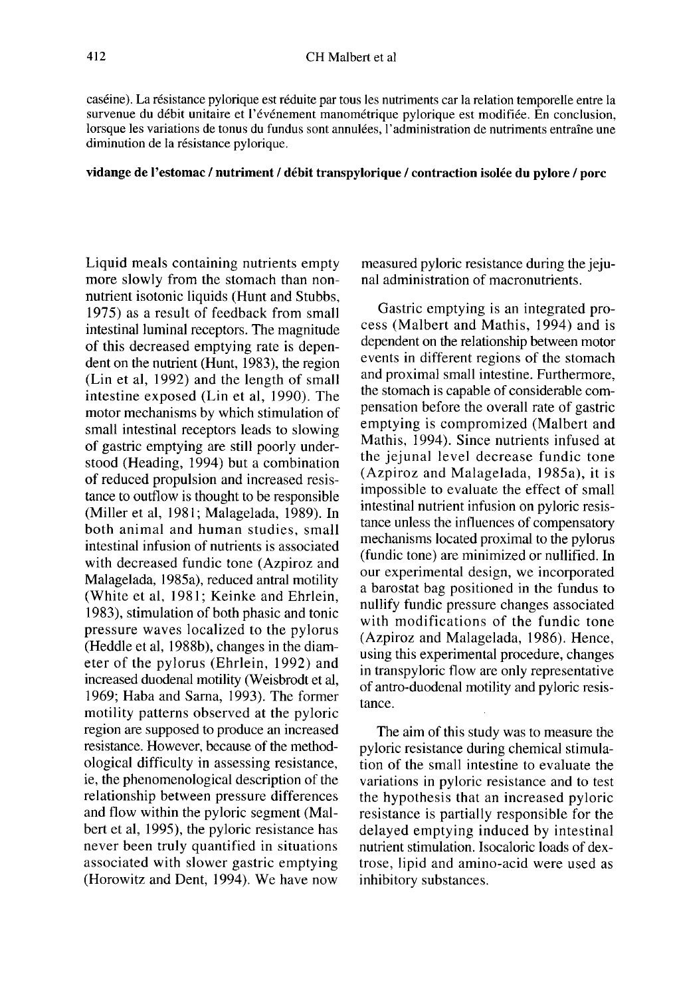caséine). La résistance pylorique est réduite par tous les nutriments car la relation temporelle entre la survenue du débit unitaire et l'événement manométrique pylorique est modifiée. En conclusion, lorsque les variations de tonus du fundus sont annulées, l'administration de nutriments entraîne une diminution de la résistance pylorique.

#### vidange de l'estomac / nutriment / débit transpylorique / contraction isolée du pylore / porc

Liquid meals containing nutrients empty more slowly from the stomach than nonnutrient isotonic liquids (Hunt and Stubbs, 1975) as a result of feedback from small intestinal luminal receptors. The magnitude of this decreased emptying rate is dependent on the nutrient (Hunt, 1983), the region (Lin et al, 1992) and the length of small intestine exposed (Lin et al, 1990). The motor mechanisms by which stimulation of small intestinal receptors leads to slowing of gastric emptying are still poorly understood (Heading, 1994) but a combination of reduced propulsion and increased resistance to outflow is thought to be responsible (Miller et al, 1981; Malagelada, 1989). In both animal and human studies, small intestinal infusion of nutrients is associated with decreased fundic tone (Azpiroz and Malagelada, 1985a), reduced antral motility (White et al, 1981; Keinke and Ehrlein, 1983), stimulation of both phasic and tonic pressure waves localized to the pylorus (Heddle et al, 1988b), changes in the diameter of the pylorus (Ehrlein, 1992) and increased duodenal motility (Weisbrodt et al, 1969; Haba and Sarna, 1993). The former motility patterns observed at the pyloric region are supposed to produce an increased resistance. However, because of the methodological difficulty in assessing resistance, ie, the phenomenological description of the relationship between pressure differences and flow within the pyloric segment (Malbert et al, 1995), the pyloric resistance has never been truly quantified in situations associated with slower gastric emptying (Horowitz and Dent, 1994). We have now

measured pyloric resistance during the jejunal administration of macronutrients.

Gastric emptying is an integrated pro cess (Malbert and Mathis, 1994) and is dependent on the relationship between motor events in different regions of the stomach and proximal small intestine. Furthermore, the stomach is capable of considerable compensation before the overall rate of gastric emptying is compromized (Malbert and Mathis, 1994). Since nutrients infused at the jejunal level decrease fundic tone (Azpiroz and Malagelada, 1985a), it is impossible to evaluate the effect of small intestinal nutrient infusion on pyloric resistance unless the influences of compensatory mechanisms located proximal to the pylorus (fundic tone) are minimized or nullified. In our experimental design, we incorporated a barostat bag positioned in the fundus to nullify fundic pressure changes associated with modifications of the fundic tone (Azpiroz and Malagelada, 1986). Hence, using this experimental procedure, changes in transpyloric flow are only representative of antro-duodenal motility and pyloric resistance.

The aim of this study was to measure the pyloric resistance during chemical stimulation of the small intestine to evaluate the variations in pyloric resistance and to test the hypothesis that an increased pyloric resistance is partially responsible for the delayed emptying induced by intestinal nutrient stimulation. Isocaloric loads of dextrose, lipid and amino-acid were used as inhibitory substances.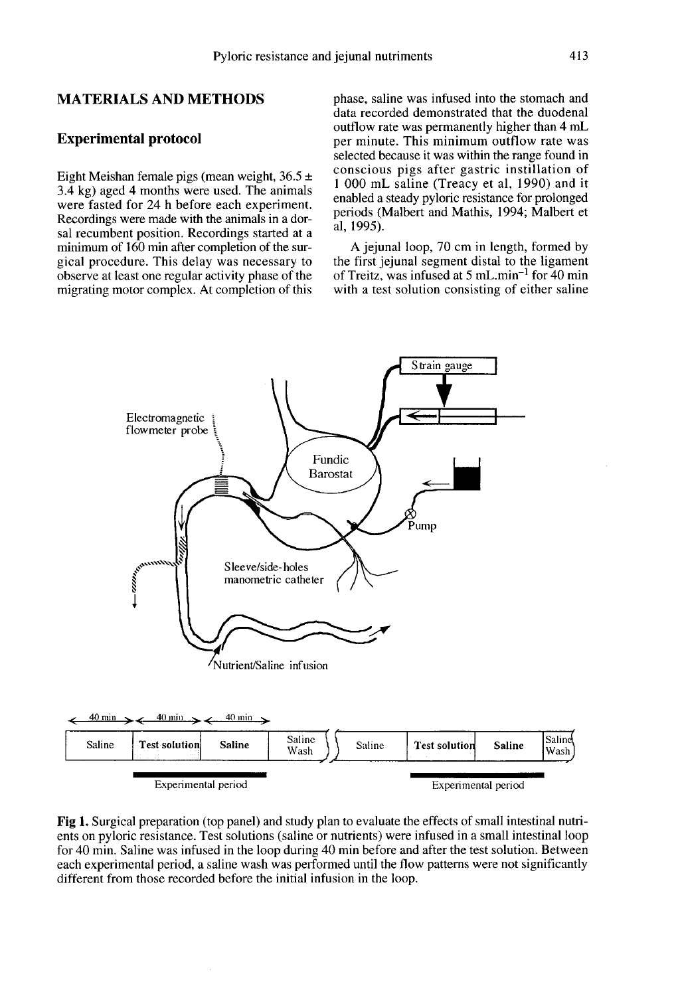## MATERIALS AND METHODS

#### Experimental protocol

Eight Meishan female pigs (mean weight,  $36.5 \pm$ 3.4 kg) aged 4 months were used. The animals were fasted for 24 h before each experiment. Recordings were made with the animals in a dorsal recumbent position. Recordings started at a minimum of 160 min after completion of the surgical procedure. This delay was necessary to observe at least one regular activity phase of the migrating motor complex. At completion of this phase, saline was infused into the stomach and data recorded demonstrated that the duodenal outflow rate was permanently higher than 4 mL per minute. This minimum outflow rate was selected because it was within the range found in conscious pigs after gastric instillation of 1 000 mL saline (Treacy et al, 1990) and it enabled a steady pyloric resistance for prolonged periods (Malbert and Mathis, 1994; Malbert et al, 1995).

A jejunal loop, 70 cm in length, formed by the first jejunal segment distal to the ligament of Treitz, was infused at 5 mL min<sup>-1</sup> for 40 min with a test solution consisting of either saline



Fig 1. Surgical preparation (top panel) and study plan to evaluate the effects of small intestinal nutrients on pyloric resistance. Test solutions (saline or nutrients) were infused in a small intestinal loop for 40 min. Saline was infused in the loop during 40 min before and after the test solution. Between each experimental period, a saline wash was performed until the flow patterns were not significantly different from those recorded before the initial infusion in the loop.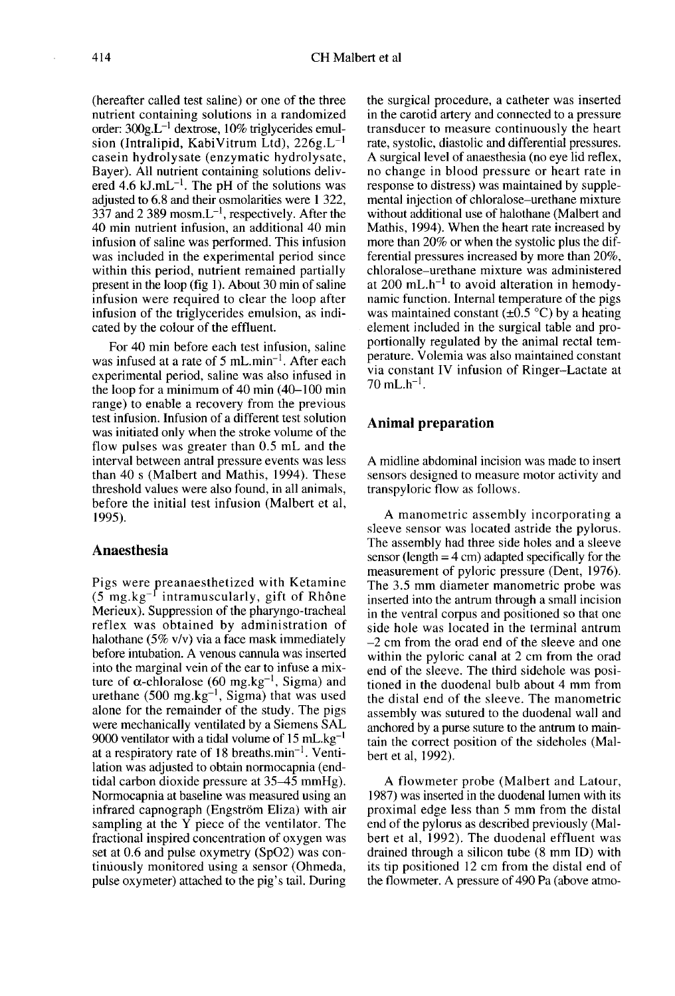(hereafter called test saline) or one of the three nutrient containing solutions in a randomized order: 300g.L-! dextrose, 10% triglycerides emulcasein hydrolysate (enzymatic hydrolysate, sion (Intralipid, KabiVitrum Ltd), <sup>2</sup> the three<br>226g.L<sup>-1</sup><br>226g.L<sup>-1</sup><br>1rolysate Bayer). All nutrient containing solutions delivered  $4.6$  kJ.mL<sup>-1</sup>. The pH of the solutions was adjusted to 6.8 and their osmolarities were 1 322, 337 and 2 389 mosm. $L^{-1}$ , respectively. After the 40 min nutrient infusion, an additional 40 min infusion of saline was performed. This infusion was included in the experimental period since within this period, nutrient remained partially present in the loop (fig 1). About 30 min of saline infusion were required to clear the loop after infusion of the triglycerides emulsion, as indicated by the colour of the effluent.

For 40 min before each test infusion, saline was infused at a rate of 5 mL min<sup>-1</sup>. After each experimental period, saline was also infused in the loop for a minimum of 40 min (40-100 min range) to enable a recovery from the previous test infusion. Infusion of a different test solution was initiated only when the stroke volume of the flow pulses was greater than 0.5 mL and the interval between antral pressure events was less than 40 s (Malbert and Mathis, 1994). These threshold values were also found, in all animals, before the initial test infusion (Malbert et al, 1995).

## Anaesthesia

Pigs were preanaesthetized with Ketamine  $(5 \text{ mg} \cdot \text{kg}^{-1})$  intramuscularly, gift of Rhône Merieux). Suppression of the pharyngo-tracheal reflex was obtained by administration of halothane (5% v/v) via a face mask immediately before intubation. A venous cannula was inserted into the marginal vein of the ear to infuse a mixture of  $\alpha$ -chloralose (60 mg.kg<sup>-1</sup>, Sigma) and urethane (500 mg.kg<sup>-1</sup>, Sigma) that was used<br>alone for the remainder of the study. The pigs were mechanically ventilated by a Siemens SAL 9000 at a respiratory rate of 18 breaths.min<sup>-1</sup>. Ventiane (500 mg.kg<sup>-1</sup>, Sigma) that was used<br>for the remainder of the study. The pigs<br>mechanically ventilated by a Siemens SAL<br>ventilator with a tidal volume of 15 mL.kg<sup>-1</sup><br>espiratory rate of 18 breaths.min<sup>-1</sup>. Ventilation was adjusted to obtain normocapnia (endtidal carbon dioxide pressure at 35-45 mmHg). Normocapnia at baseline was measured using an infrared capnograph (Engström Eliza) with air sampling at the Y piece of the ventilator. The fractional inspired concentration of oxygen was set at 0.6 and pulse oxymetry (Sp02) was continuously monitored using a sensor (Ohmeda, pulse oxymeter) attached to the pig's tail. During

the surgical procedure, a catheter was inserted in the carotid artery and connected to a pressure transducer to measure continuously the heart<br>rate, systolic, diastolic and differential pressures. A surgical level of anaesthesia (no eye lid reflex, no change in blood pressure or heart rate in response to distress) was maintained by supplemental injection of chloralose-urethane mixture without additional use of halothane (Malbert and Mathis, 1994). When the heart rate increased by more than  $20\%$  or when the systolic plus the differential pressures increased by more than 20%, chloralose-urethane mixture was administered more than 20% or when the systolic plus the dif-<br>ferential pressures increased by more than 20%,<br>chloralose–urethane mixture was administered<br>at 200 mL.h<sup>-1</sup> to avoid alteration in hemody-<br>namic function. Internal tempera namic function. Internal temperature of the pigs was maintained constant  $(\pm 0.5 \degree C)$  by a heating element included in the surgical table and proportionally regulated by the animal rectal temperature. Volemia was also maintained constant via constant IV infusion of Ringer-Lactate at  $70 \text{ mL} \cdot \text{h}^{-1}$ . was manual<br>element in<br>portionally<br>perature. V<br>via consta<br>70 mL.h<sup>-1</sup>.

## Animal preparation

A midline abdominal incision was made to insert sensors designed to measure motor activity and transpyloric flow as follows.

A manometric assembly incorporating a sleeve sensor was located astride the pylorus. The assembly had three side holes and a sleeve sensor (length  $=$  4 cm) adapted specifically for the measurement of pyloric pressure (Dent, 1976). The 3.5 mm diameter manometric probe was inserted into the antrum through a small incision in the ventral corpus and positioned so that one side hole was located in the terminal antrum  $-2$  cm from the orad end of the sleeve and one within the pyloric canal at 2 cm from the orad end of the sleeve. The third sidehole was positioned in the duodenal bulb about 4 mm from the distal end of the sleeve. The manometric assembly was sutured to the duodenal wall and anchored by a purse suture to the antrum to maintain the correct position of the sideholes (Malbert et al, 1992).

A flowmeter probe (Malbert and Latour, 1987) was inserted in the duodenal lumen with its proximal edge less than 5 mm from the distal end of the pylorus as described previously (Malbert et al, 1992). The duodenal effluent was drained through a silicon tube (8 mm ID) with its tip positioned 12 cm from the distal end of the flowmeter. A pressure of 490 Pa (above atmo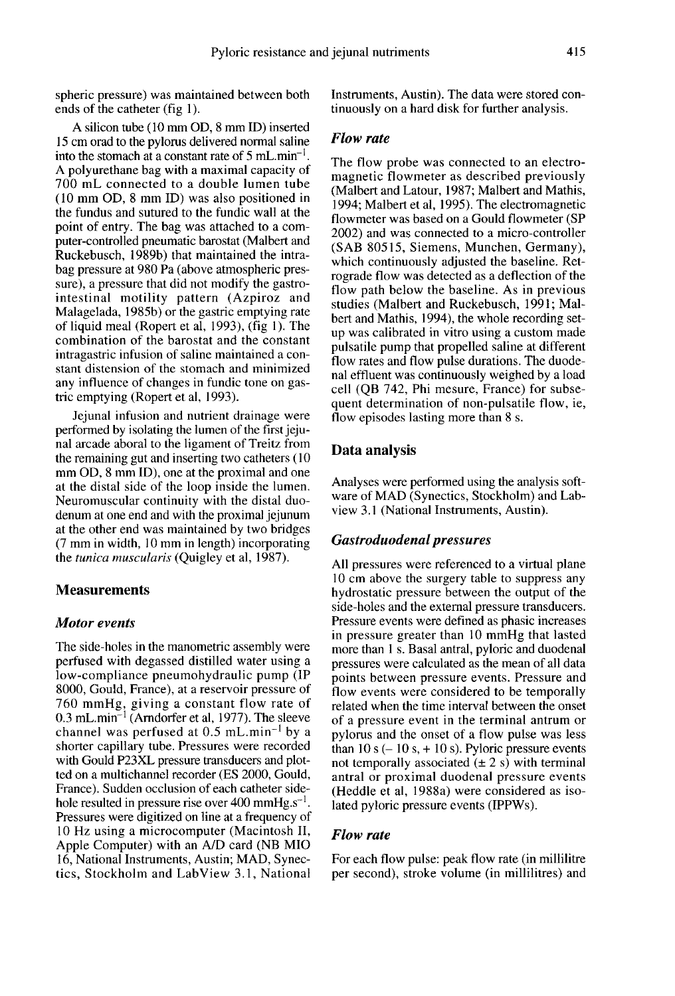spheric pressure) was maintained between both ends of the catheter (fig 1).

A silicon tube (10 mm OD, 8 mm ID) inserted 15 cm orad to the pylorus delivered normal saline<br>into the stomach at a constant rate of 5 mL.min<sup>-1</sup>. A polyurethane bag with a maximal capacity of 700 mL connected to a double lumen tube (10 mm OD, 8 mm ID) was also positioned in the fundus and sutured to the fundic wall at the point of entry. The bag was attached to a computer-controlled pneumatic barostat (Malbert and Ruckebusch, 1989b) that maintained the intrabag pressure at 980 Pa (above atmospheric pressure), a pressure that did not modify the gastrointestinal motility pattern (Azpiroz and Malagelada, 1985b) or the gastric emptying rate of liquid meal (Ropert et al, 1993), (fig 1). The combination of the barostat and the constant intragastric infusion of saline maintained a constant distension of the stomach and minimized any influence of changes in fundic tone on gastric emptying (Ropert et al, 1993).

Jejunal infusion and nutrient drainage were performed by isolating the lumen of the first jejunal arcade aboral to the ligament of Treitz from the remaining gut and inserting two catheters (10) mm OD, 8 mm ID), one at the proximal and one at the distal side of the loop inside the lumen. Neuromuscular continuity with the distal duodenum at one end and with the proximal jejunum at the other end was maintained by two bridges (7 mm in width, 10 mm in length) incorporating the tunica muscularis (Quigley et al, 1987).

#### **Measurements**

#### Motor events

The side-holes in the manometric assembly were perfused with degassed distilled water using a low-compliance pneumohydraulic pump (IP 8000, Gould, France), at a reservoir pressure of 760 mmHg, giving a constant flow rate of  $0.3$  mL.min<sup>-1</sup> (Arndorfer et al, 1977). The sleeve France are measured at all the unit of the compliance preumohydraulic pump (IP 8000, Gould, France), at a reservoir pressure of 760 mmHg, giving a constant flow rate of 0.3 mL.min<sup>-1</sup> (Arndorfer et al, 1977). The sleeve c shorter capillary tube. Pressures were recorded with Gould P23XL pressure transducers and plotted on a multichannel recorder (ES 2000, Gould, France). Sudden occlusion of each catheter sidehole resulted in pressure rise over 400 mmHg. $s^{-1}$ . Pressures were digitized on line at a frequency of 10 Hz using a microcomputer (Macintosh II, Apple Computer) with an A/D card (NB MIO 16, National Instruments, Austin; MAD, Synectics, Stockholm and LabView 3.1, National

Instruments, Austin). The data were stored continuously on a hard disk for further analysis.

#### Flow rate

The flow probe was connected to an electromagnetic flowmeter as described previously (Malbert and Latour, 1987; Malbert and Mathis, 1994; Malbert et al, 1995). The electromagnetic flowmeter was based on a Gould flowmeter (SP 2002) and was connected to a micro-controller (SAB 80515, Siemens, Munchen, Germany), which continuously adjusted the baseline. Retrograde flow was detected as a deflection of the flow path below the baseline. As in previous studies (Malbert and Ruckebusch, 1991; Malbert and Mathis, 1994), the whole recording setup was calibrated in vitro using a custom made pulsatile pump that propelled saline at different flow rates and flow pulse durations. The duodenal effluent was continuously weighed by a load cell (QB 742, Phi mesure, France) for subsequent determination of non-pulsatile flow, ie, flow episodes lasting more than 8 s.

#### Data analysis

Analyses were performed using the analysis software of MAD (Synectics, Stockholm) and Labview 3.1 (National Instruments, Austin).

#### Gastroduodenal pressures

All pressures were referenced to a virtual plane 10 cm above the surgery table to suppress any hydrostatic pressure between the output of the side-holes and the external pressure transducers. Pressure events were defined as phasic increases in pressure greater than 10 mmHg that lasted more than 1 s. Basal antral, pyloric and duodenal pressures were calculated as the mean of all data points between pressure events. Pressure and flow events were considered to be temporally related when the time interval between the onset of a pressure event in the terminal antrum or pylorus and the onset of a flow pulse was less than 10 s  $(-10 s, +10 s)$ . Pyloric pressure events not temporally associated  $(\pm 2 s)$  with terminal antral or proximal duodenal pressure events (Heddle et al, 1988a) were considered as isolated pyloric pressure events (IPPWs).

#### Flow rate

For each flow pulse: peak flow rate (in millilitre per second), stroke volume (in millilitres) and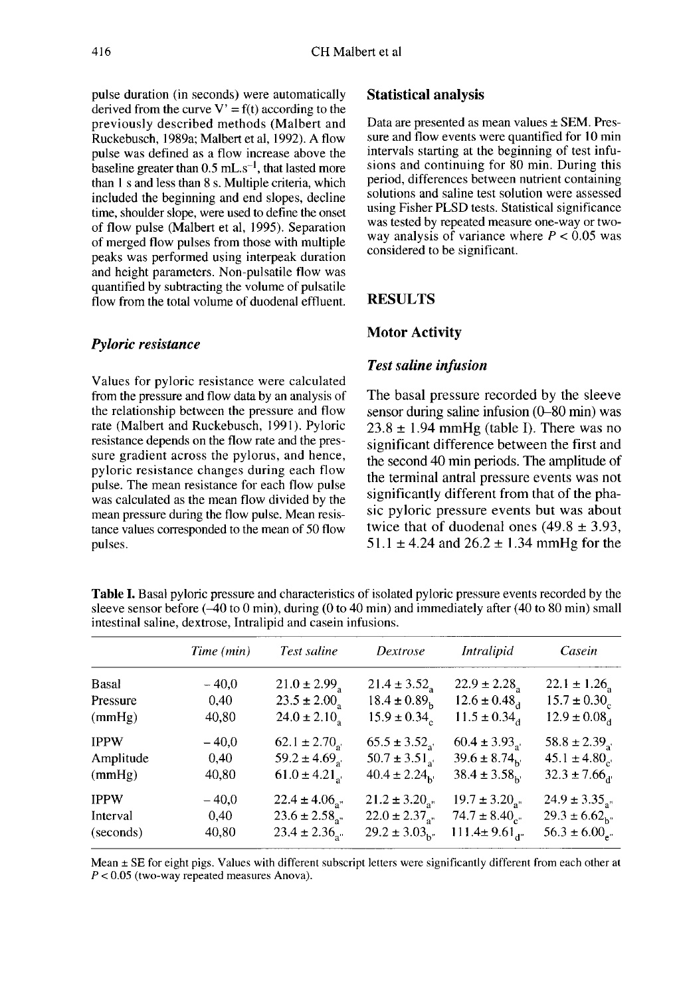pulse duration (in seconds) were automatically derived from the curve  $V' = f(t)$  according to the previously described methods (Malbert and Ruckebusch, 1989a; Malbert et al, 1992). A flow pulse was defined as a flow increase above the previously described methods (walbert and<br>Ruckebusch, 1989a; Malbert et al, 1992). A flow<br>pulse was defined as a flow increase above the<br>baseline greater than 0.5 mL.s<sup>-1</sup>, that lasted more<br>than 1 s and less than 8 s. Mult than I s and less than 8 s. Multiple criteria, which included the beginning and end slopes, decline time, shoulder slope, were used to define the onset of flow pulse (Malbert et al, 1995). Separation of merged flow pulses from those with multiple peaks was performed using interpeak duration and height parameters. Non-pulsatile flow was quantified by subtracting the volume of pulsatile flow from the total volume of duodenal effluent.

## Pyloric resistance

Values for pyloric resistance were calculated from the pressure and flow data by an analysis of the relationship between the pressure and flow rate (Malbert and Ruckebusch, 1991). Pyloric resistance depends on the flow rate and the pressure gradient across the pylorus, and hence, pyloric resistance changes during each flow pulse. The mean resistance for each flow pulse was calculated as the mean flow divided by the mean pressure during the flow pulse. Mean resistance values corresponded to the mean of 50 flow pulses.

## Statistical analysis

Data are presented as mean values ± SEM. Pressure and flow events were quantified for 10 min intervals starting at the beginning of test infusions and continuing for 80 min. During this period, differences between nutrient containing solutions and saline test solution were assessed using Fisher PLSD tests. Statistical significance was tested by repeated measure one-way or twoway analysis of variance where  $P < 0.05$  was considered to be significant.

## RESULTS

## Motor Activity

## **Test saline infusion**

The basal pressure recorded by the sleeve sensor during saline infusion (0-80 min) was  $23.8 \pm 1.94$  mmHg (table I). There was no significant difference between the first and the second 40 min periods. The amplitude of the terminal antral pressure events was not significantly different from that of the phasic pyloric pressure events but was about twice that of duodenal ones  $(49.8 \pm 3.93)$ . 51.1  $\pm$  4.24 and 26.2  $\pm$  1.34 mmHg for the

Time (min) Test saline Dextrose Intralipid Casein Basal  $-40,0$  $21.0 \pm 2.99$ <sub>s</sub>  $21.4 \pm 3.52$  $22.9 \pm 2.28$  $22.1 \pm 1.26$  $18.4 \pm 0.89_h$ Pressure 0.40  $23.5 \pm 2.00$  $12.6 \pm 0.48$ <sub>d</sub>  $15.7 \pm 0.30_c$  $(mmHg)$ 40,80  $24.0 \pm 2.10$ <sub>s</sub>  $15.9 \pm 0.34$ <sub>c</sub>  $11.5 \pm 0.34$ <sub>d</sub>  $12.9 \pm 0.08$ <sub>d</sub> **IPPW**  $-40,0$  $65.5 \pm 3.52$ <sub>a'</sub>  $60.4 \pm 3.93$ <sub>a</sub>  $58.8 \pm 2.39$  $62.1 \pm 2.70$ <sub>a</sub>  $50.7 \pm 3.51$  $39.6 \pm 8.74$  $45.1 \pm 4.80$ <sub>c</sub> Amplitude  $0.40$  $59.2 \pm 4.69$ 40,80  $61.0 \pm 4.21$ <sub>a</sub>  $38.4 \pm 3.58$ <sub>h'</sub>  $32.3 \pm 7.66_{\rm d}$  $(mmHg)$  $40.4 \pm 2.24_{\rm b}$ **IPPW**  $24.9 \pm 3.35$ <sub>a"</sub>  $-40,0$  $22.4 \pm 4.06$ <sub>a"</sub>  $21.2 \pm 3.20$ <sub>an</sub>  $19.7 \pm 3.20$  $22.0 \pm 2.37_{a''}$  $23.6 \pm 2.58$ <sub>a"</sub>  $74.7 \pm 8.40$ <sub>c</sub>  $29.3 \pm 6.62$ <sub>h"</sub> Interval 0,40  $23.4 \pm 2.36$ .  $29.2 \pm 3.03_{h}$  $111.4 \pm 9.61$ <sub>d</sub> (seconds) 40,80  $56.3 \pm 6.00$ <sub>a</sub>

**Table I.** Basal pyloric pressure and characteristics of isolated pyloric pressure events recorded by the sleeve sensor before  $(-40 \text{ to } 0 \text{ min})$ , during  $(0 \text{ to } 40 \text{ min})$  and immediately after  $(40 \text{ to } 80 \text{ min})$  small intestinal saline, dextrose, Intralipid and casein infusions.

Mean ± SE for eight pigs. Values with different subscript letters were significantly different from each other at  $P < 0.05$  (two-way repeated measures Anova).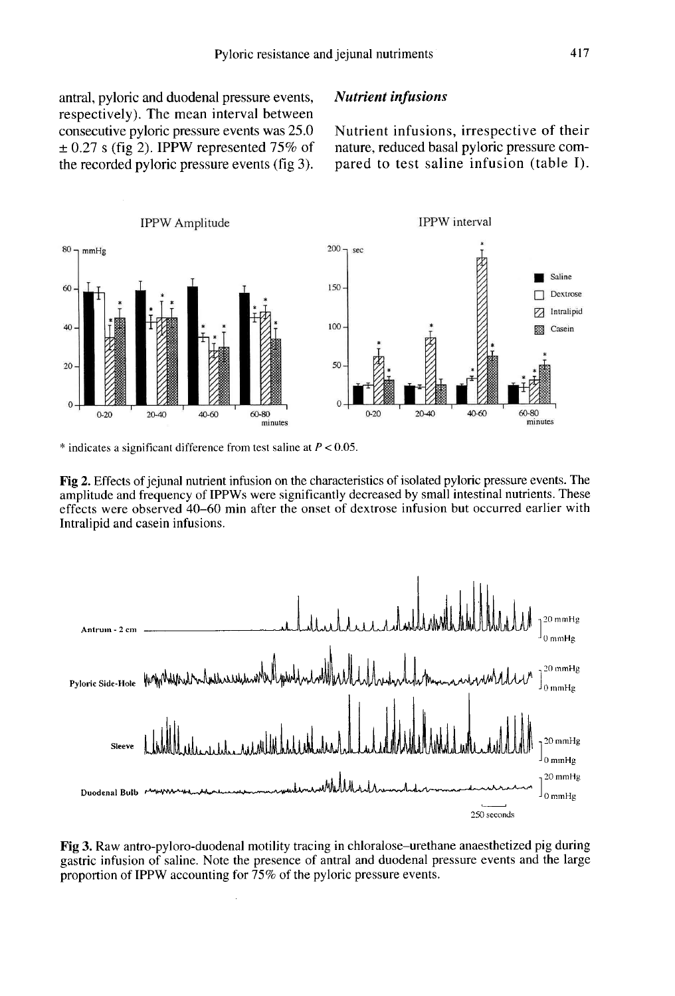antral, pyloric and duodenal pressure events, respectively). The mean interval between consecutive pyloric pressure events was 25.0  $\pm$  0.27 s (fig 2). IPPW represented 75% of the recorded pyloric pressure events (fig 3).

## Nutrient infusions

Nutrient infusions, irrespective of their nature, reduced basal pyloric pressure compared to test saline infusion (table I).



\* indicates a significant difference from test saline at  $P < 0.05$ .

Fig 2. Effects of jejunal nutrient infusion on the characteristics of isolated pyloric pressure events. The amplitude and frequency of IPPWs were significantly decreased by small intestinal nutrients. These effects were observed 40–60 min after the onset of dextrose infusion but occurred earlier with Intralipid and casein infusions.



Fig 3. Raw antro-pyloro-duodenal motility tracing in chloralose–urethane anaesthetized pig during gastric infusion of saline. Note the presence of antral and duodenal pressure events and the large proportion of IPPW accounting for 75% of the pyloric pressure events.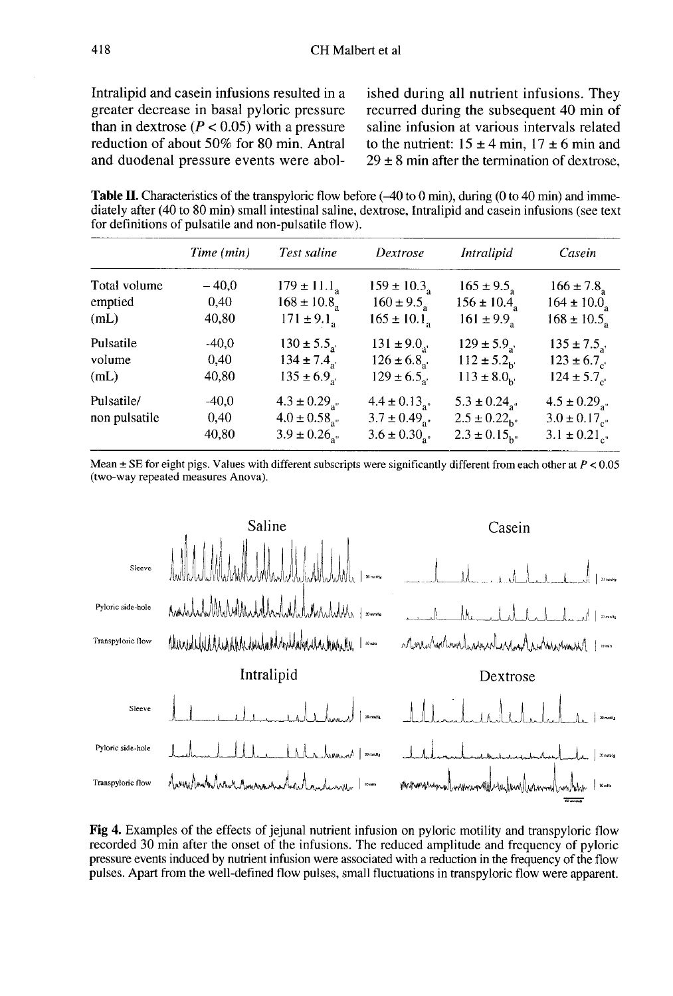Intralipid and casein infusions resulted in a greater decrease in basal pyloric pressure than in dextrose ( $P < 0.05$ ) with a pressure reduction of about 50% for 80 min. Antral and duodenal pressure events were abolished during all nutrient infusions. They recurred during the subsequent 40 min of saline infusion at various intervals related to the nutrient:  $15 \pm 4$  min,  $17 \pm 6$  min and  $29 \pm 8$  min after the termination of dextrose.

**Table II.** Characteristics of the transpoloric flow before  $(-40 \text{ to } 0 \text{ min})$ , during  $(0 \text{ to } 40 \text{ min})$  and immediately after (40 to 80 min) small intestinal saline, dextrose, Intralipid and casein infusions (see text for definitions of pulsatile and non-pulsatile flow).

|                             | Time (min)               | Test saline                                                                     | Dextrose                                                                                     | <i>Intralipid</i>                                                                            | Casein                                                                                |
|-----------------------------|--------------------------|---------------------------------------------------------------------------------|----------------------------------------------------------------------------------------------|----------------------------------------------------------------------------------------------|---------------------------------------------------------------------------------------|
| Total volume<br>emptied     | $-40.0$<br>0,40          | $179 \pm 11.1_a$<br>$168 \pm 10.8$ <sub>3</sub>                                 | $159 \pm 10.3$ <sub>a</sub><br>$160 \pm 9.5$                                                 | $165 \pm 9.5$                                                                                | $166 \pm 7.8$                                                                         |
| (mL)                        | 40,80                    | $171 \pm 9.1_a$                                                                 | $165 \pm 10.1$ <sub>a</sub>                                                                  | $156 \pm 10.4$ <sub>a</sub><br>$161 \pm 9.9$ <sub>s</sub>                                    | $164 \pm 10.0$ <sub>a</sub><br>$168 \pm 10.5$ <sub>a</sub>                            |
| Pulsatile<br>volume<br>(mL) | $-40.0$<br>0,40<br>40,80 | $130 \pm 5.5$<br>$134 \pm 7.4$ .<br>$135 \pm 6.9$ <sub>a</sub>                  | $131 \pm 9.0$<br>$126 \pm 6.8$<br>$129 \pm 6.5$ <sub>a'</sub>                                | $129 \pm 5.9$ .<br>$112 \pm 5.2$ <sub>h</sub><br>$113 \pm 8.0_{\rm k}$                       | $135 \pm 7.5$<br>$123 \pm 6.7$<br>$124 \pm 5.7$                                       |
| Pulsatile/<br>non pulsatile | $-40.0$<br>0,40<br>40,80 | $4.3 \pm 0.29$ <sub>an</sub><br>$4.0 \pm 0.58$ <sub>a</sub><br>$3.9 \pm 0.26$ . | $4.4 \pm 0.13$ <sub>an</sub><br>$3.7 \pm 0.49$ <sub>a"</sub><br>$3.6 \pm 0.30$ <sub>a"</sub> | $5.3 \pm 0.24$ <sub>a"</sub><br>$2.5 \pm 0.22$ <sub>b"</sub><br>$2.3 \pm 0.15$ <sub>h"</sub> | $4.5 \pm 0.29$ <sub>a"</sub><br>$3.0 \pm 0.17$ <sub>c</sub><br>$3.1 \pm 0.21_{e^{n}}$ |

Mean  $\pm$  SE for eight pigs. Values with different subscripts were significantly different from each other at  $P < 0.05$ (two-way repeated measures Anova).



Fig 4. Examples of the effects of jejunal nutrient infusion on pyloric motility and transpyloric flow recorded 30 min after the onset of the infusions. The reduced amplitude and frequency of pyloric pressure events induced by nutrient infusion were associated with a reduction in the frequency of the flow pulses. Apart from the well-defined flow pulses, small fluctuations in transpyloric flow were apparent.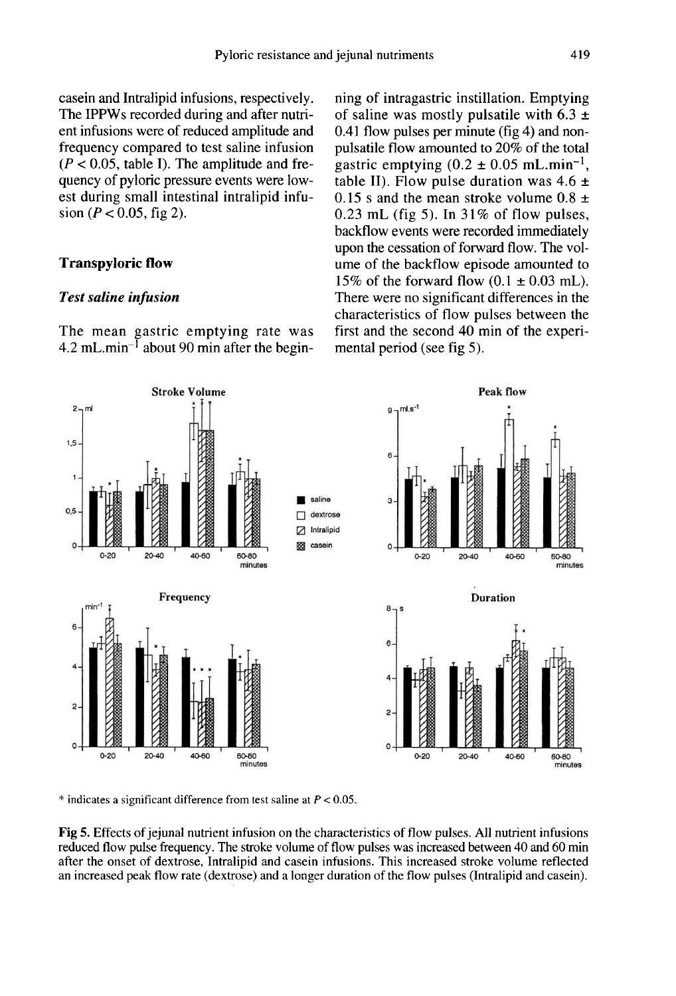casein and Intralipid infusions, respectively. The IPPWs recorded during and after nutrient infusions were of reduced amplitude and frequency compared to test saline infusion  $(P < 0.05$ , table I). The amplitude and frequency of pyloric pressure events were lowest during small intestinal intralipid infusion ( $P < 0.05$ , fig 2).

## Transpyloric flow

#### Test saline infusion

The mean gastric emptying rate was **Test saline infusion**<br>The mean gastric emptying rate was<br>4.2 mL.min<sup>-1</sup> about 90 min after the begin-

ning of intragastric instillation. Emptying<br>of saline was mostly pulsatile with 6.3  $\pm$ <br>0.41 flow pulses per minute (fig 4) and non-<br>pulsatile flow amounted to 20% of the total<br>gastric emptying (0.2  $\pm$  0.05 mL.min<sup>-1</sup>, of saline was mostly pulsatile with  $6.3 \pm$ 0.41 flow pulses per minute (fig 4) and nonpulsatile flow amounted to 20% of the total gastric emptying (0.2 table II). Flow pulse duration was  $4.6 \pm$ 0.15 s and the mean stroke volume  $0.8 \pm$ 0.23 mL (fig 5). In  $31\%$  of flow pulses, backflow events were recorded immediately upon the cessation of forward flow. The volume of the backflow episode amounted to 15% of the forward flow  $(0.1 \pm 0.03 \text{ mL})$ . There were no significant differences in the characteristics of flow pulses between the first and the second 40 min of the experimental period (see fig 5).



 $*$  indicates a significant difference from test saline at  $P < 0.05$ .

Fig 5. Effects of jeiunal nutrient infusion on the characteristics of flow pulses. All nutrient infusions reduced flow pulse frequency. The stroke volume of flow pulses was increased between 40 and 60 min after the onset of dextrose, Intralipid and casein infusions. This increased stroke volume reflected an increased peak flow rate (dextrose) and a longer duration of the flow pulses (Intralipid and casein).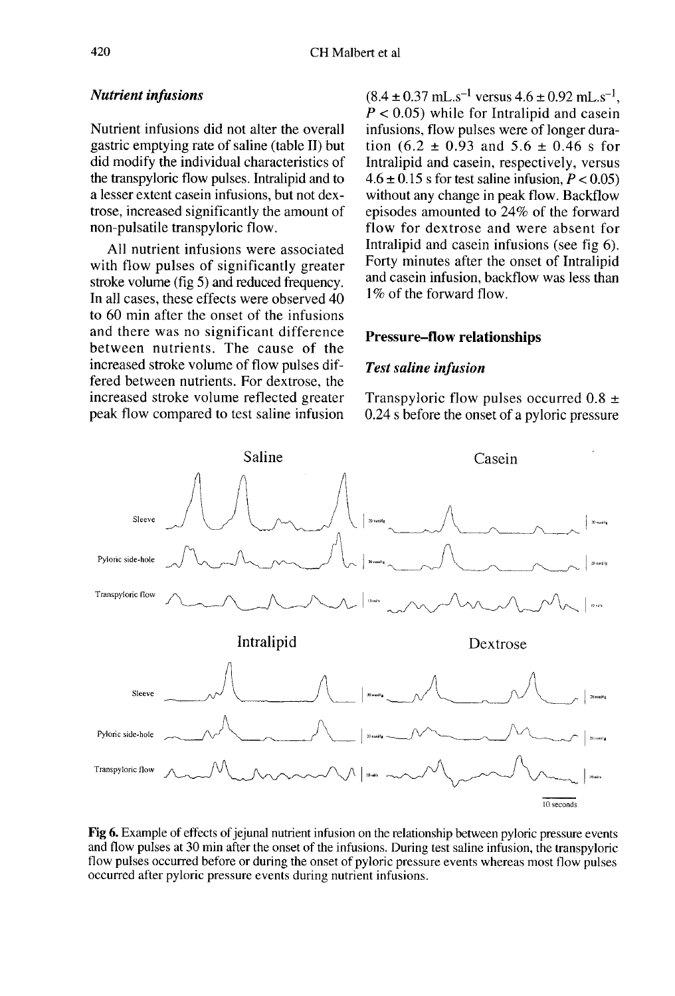## Nutrient infusions

Nutrient infusions did not alter the overall gastric emptying rate of saline (table II) but did modify the individual characteristics of the transpyloric flow pulses. Intralipid and to a lesser extent casein infusions, but not dextrose, increased significantly the amount of non-pulsatile transpyloric flow.

All nutrient infusions were associated with flow pulses of significantly greater stroke volume (fig 5) and reduced frequency. In all cases, these effects were observed 40 to 60 min after the onset of the infusions and there was no significant difference between nutrients. The cause of the increased stroke volume of flow pulses differed between nutrients. For dextrose, the increased stroke volume reflected greater peak flow compared to test saline infusion

 $(8.4 \pm 0.37 \text{ mL} \cdot \text{s}^{-1} \text{ versus } 4.6 \pm 0.92 \text{ mL} \cdot \text{s}^{-1}$ .  $P < 0.05$ ) while for Intralipid and casein infusions, flow pulses were of longer duration (6.2  $\pm$  0.93 and 5.6  $\pm$  0.46 s for Intralipid and casein, respectively, versus  $4.6 \pm 0.15$  s for test saline infusion,  $P < 0.05$ ) without any change in peak flow. Backflow episodes amounted to 24% of the forward flow for dextrose and were absent for Intralipid and casein infusions (see fig 6). Forty minutes after the onset of Intralipid and casein infusion, backflow was less than 1\% of the forward flow.

## Pressure-flow relationships

#### Test saline infusion

Transpyloric flow pulses occurred  $0.8 \pm$ 0.24 s before the onset of a pyloric pressure



Fig 6. Example of effects of jejunal nutrient infusion on the relationship between pyloric pressure events and flow pulses at 30 min after the onset of the infusions. During test saline infusion, the transpyloric flow pulses occurred before or during the onset of pyloric pressure events whereas most flow pulses occurred after pyloric pressure events during nutrient infusions.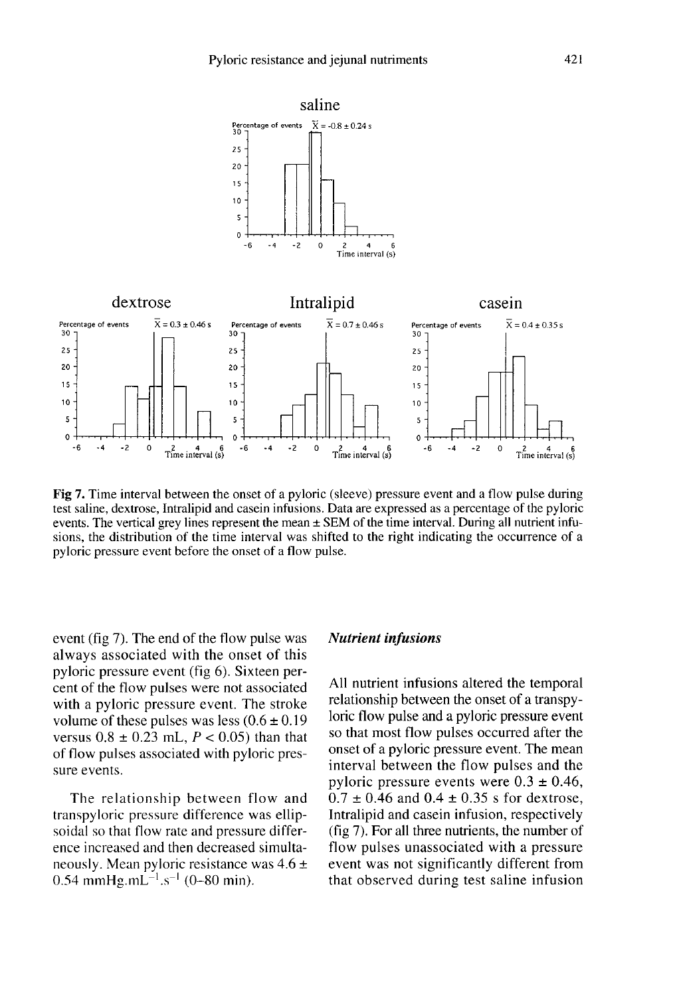

Fig 7. Time interval between the onset of a pyloric (sleeve) pressure event and a flow pulse during test saline, dextrose, Intralipid and case in infusions. Data are expressed as a percentage of the pyloric events. The vertical grey lines represent the mean  $\pm$  SEM of the time interval. During all nutrient infusions, the distribution of the time interval was shifted to the right indicating the occurrence of a pyloric pressure event before the onset of a flow pulse.

event (fig 7). The end of the flow pulse was always associated with the onset of this pyloric pressure event (fig 6). Sixteen percent of the flow pulses were not associated with a pyloric pressure event. The stroke volume of these pulses was less  $(0.6 \pm 0.19)$ versus  $0.8 \pm 0.23$  mL,  $P < 0.05$ ) than that of flow pulses associated with pyloric pressure events.

The relationship between flow and transpyloric pressure difference was ellipsoidal so that flow rate and pressure difference increased and then decreased simultaneously. Mean pyloric resistance was 4.6 ± sure events.<br>The relationship between f<br>transpyloric pressure difference v<br>soidal so that flow rate and pressu<br>ence increased and then decreased<br>neously. Mean pyloric resistance v<br>0.54 mmHg.mL<sup>-1</sup>.s<sup>-1</sup> (0-80 min).

#### Nutrient infusions

All nutrient infusions altered the temporal relationship between the onset of a transpyloric flow pulse and a pyloric pressure event so that most flow pulses occurred after the onset of a pyloric pressure event. The mean interval between the flow pulses and the pyloric pressure events were  $0.3 \pm 0.46$ ,  $0.7 \pm 0.46$  and  $0.4 \pm 0.35$  s for dextrose, Intralipid and casein infusion, respectively (fig 7). For all three nutrients, the number of flow pulses unassociated with a pressure event was not significantly different from that observed during test saline infusion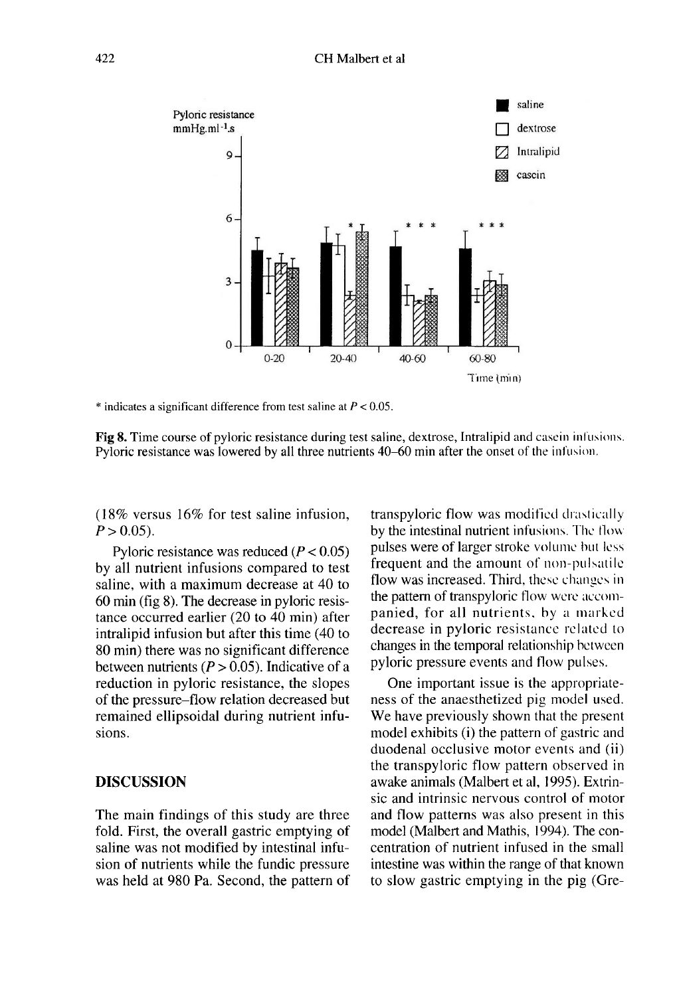

\* indicates a significant difference from test saline at  $P < 0.05$ .

Fig 8. Time course of pyloric resistance during test saline, dextrose, Intralipid and case in infusions. Pyloric resistance was lowered by all three nutrients 40–60 min after the onset of the infusion.

(18% versus 16% for test saline infusion,  $P > 0.05$ ).

Pyloric resistance was reduced  $(P < 0.05)$ by all nutrient infusions compared to test saline, with a maximum decrease at 40 to 60 min (fig 8). The decrease in pyloric resistance occurred earlier (20 to 40 min) after intralipid infusion but after this time (40 to 80 min) there was no significant difference between nutrients ( $P > 0.05$ ). Indicative of a reduction in pyloric resistance, the slopes of the pressure-flow relation decreased but remained ellipsoidal during nutrient infusions.

## DISCUSSION

The main findings of this study are three fold. First, the overall gastric emptying of saline was not modified by intestinal infusion of nutrients while the fundic pressure was held at 980 Pa. Second, the pattern of

transpyloric flow was modified drastically by the intestinal nutrient infusions. The flow pulses were of larger stroke volume but less frequent and the amount of non-pulsatile flow was increased. Third, these changes in the pattern of transpyloric flow were accompanied, for all nutrients, hy a marked decrease in pyloric resistance related to changes in the temporal relationship between pyloric pressure events and flow pulses.

One important issue is the appropriate ness of the anaesthetized pig model used. We have previously shown that the present model exhibits (i) the pattern of gastric and duodenal occlusive motor events and (ii) the transpyloric flow pattern observed in awake animals (Malbert et al, 1995). Extrinsic and intrinsic nervous control of motor and flow patterns was also present in this model (Malbert and Mathis, 1994). The concentration of nutrient infused in the small intestine was within the range of that known to slow gastric emptying in the pig (Gre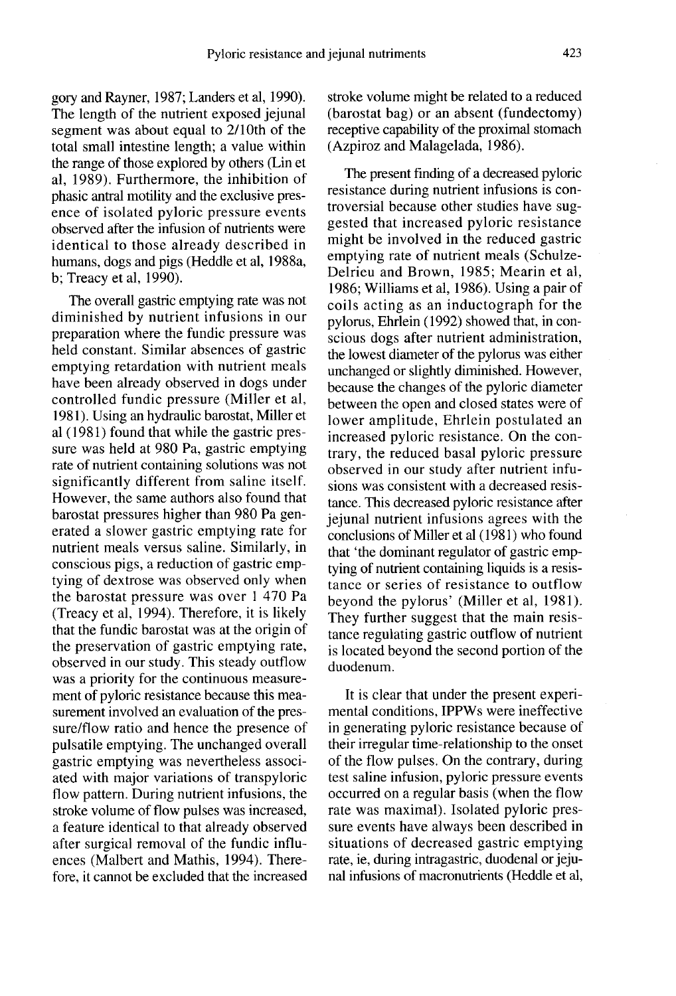gory and Rayner, 1987; Landers et al, 1990). The length of the nutrient exposed jejunal segment was about equal to 2/lOth of the total small intestine length; a value within the range of those explored by others (Lin et al, 1989). Furthermore, the inhibition of phasic antral motility and the exclusive presence of isolated pyloric pressure events observed after the infusion of nutrients were identical to those already described in humans, dogs and pigs (Heddle et al, 1988a, b; Treacy et al, 1990).

The overall gastric emptying rate was not diminished by nutrient infusions in our preparation where the fundic pressure was held constant. Similar absences of gastric emptying retardation with nutrient meals have been already observed in dogs under controlled fundic pressure (Miller et al, 1981). Using an hydraulic barostat, Miller et al (1981) found that while the gastric pressure was held at 980 Pa, gastric emptying rate of nutrient containing solutions was not significantly different from saline itself. However, the same authors also found that barostat pressures higher than 980 Pa generated a slower gastric emptying rate for nutrient meals versus saline. Similarly, in conscious pigs, a reduction of gastric emptying of dextrose was observed only when the barostat pressure was over 1 470 Pa (Treacy et al, 1994). Therefore, it is likely that the fundic barostat was at the origin of the preservation of gastric emptying rate, observed in our study. This steady outflow was a priority for the continuous measurement of pyloric resistance because this measurement involved an evaluation of the pressure/flow ratio and hence the presence of pulsatile emptying. The unchanged overall gastric emptying was nevertheless associated with major variations of transpyloric flow pattern. During nutrient infusions, the stroke volume of flow pulses was increased, a feature identical to that already observed after surgical removal of the fundic influences (Malbert and Mathis, 1994). Therefore, it cannot be excluded that the increased

stroke volume might be related to a reduced (barostat bag) or an absent (fundectomy) receptive capability of the proximal stomach (Azpiroz and Malagelada, 1986).

The present finding of a decreased pyloric resistance during nutrient infusions is controversial because other studies have suggested that increased pyloric resistance might be involved in the reduced gastric emptying rate of nutrient meals (Schulze-Delrieu and Brown, 1985; Mearin et al, 1986; Williams et al, 1986). Using a pair of coils acting as an inductograph for the pylorus, Ehrlein (1992) showed that, in conscious dogs after nutrient administration, the lowest diameter of the pylorus was either unchanged or slightly diminished. However, because the changes of the pyloric diameter between the open and closed states were of lower amplitude, Ehrlein postulated an increased pyloric resistance. On the contrary, the reduced basal pyloric pressure observed in our study after nutrient infusions was consistent with a decreased resistance. This decreased pyloric resistance after jejunal nutrient infusions agrees with the conclusions of Miller et al (1981) who found that 'the dominant regulator of gastric emptying of nutrient containing liquids is a resistance or series of resistance to outflow beyond the pylorus' (Miller et al, 1981). They further suggest that the main resistance regulating gastric outflow of nutrient is located beyond the second portion of the duodenum.

It is clear that under the present experimental conditions, IPPWs were ineffective in generating pyloric resistance because of their irregular time-relationship to the onset of the flow pulses. On the contrary, during test saline infusion, pyloric pressure events occurred on a regular basis (when the flow rate was maximal). Isolated pyloric pressure events have always been described in situations of decreased gastric emptying rate, ie, during intragastric, duodenal or jejunal infusions of macronutrients (Heddle et al,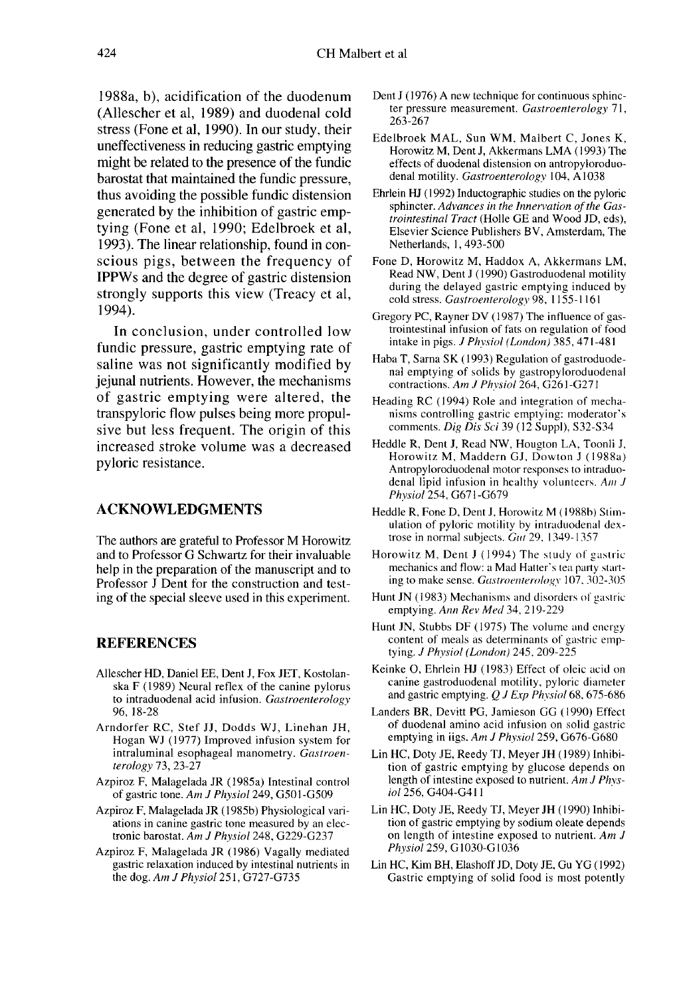1988a, b), acidification of the duodenum (Allescher et al, 1989) and duodenal cold stress (Fone et al, 1990). In our study, their uneffectiveness in reducing gastric emptying might be related to the presence of the fundic barostat that maintained the fundic pressure, thus avoiding the possible fundic distension generated by the inhibition of gastric emptying (Fone et al, 1990; Edelbroek et al, 1993). The linear relationship, found in conscious pigs, between the frequency of IPPWs and the degree of gastric distension strongly supports this view (Treacy et al, 1994).

In conclusion, under controlled low fundic pressure, gastric emptying rate of saline was not significantly modified by jejunal nutrients. However, the mechanisms of gastric emptying were altered, the transpyloric flow pulses being more propulsive but less frequent. The origin of this increased stroke volume was a decreased pyloric resistance.

## ACKNOWLEDGMENTS

The authors are grateful to Professor M Horowitz and to Professor G Schwartz for their invaluable help in the preparation of the manuscript and to Professor J Dent for the construction and testing of the special sleeve used in this experiment.

## **REFERENCES**

- Allescher HD, Daniel EE, Dent J, Fox JET, Kostolanska F (1989) Neural reflex of the canine pylorus to intraduodenal acid infusion. Gastroenterology 96, 18-28
- Arndorfer RC, Stef JJ, Dodds WJ, Linehan JH, Hogan WJ (1977) Improved infusion system for intraluminal esophageal manometry. Gastroenterology 73, 23-27
- Azpiroz F, Malagelada JR (1985a) Intestinal control of gastric tone. Am J Physiol 249, G501-G509
- Azpiroz F, Malagelada JR (1985b) Physiological variations in canine gastric tone measured by an electronic barostat. Am J Physiol 248, G229-G237
- Azpiroz F, Malagelada JR (1986) Vagally mediated gastric relaxation induced by intestinal nutrients in the dog. Am J Physiol 251, G727-G735
- Dent J (1976) A new technique for continuous sphinc ter pressure measurement. Gastroenterology 71, 263-267
- Edelbroek MAL, Sun WM, Malbert C, Jones K, Horowitz M, Dent J, Akkermans LMA (1993) The effects of duodenal distension on antropyloroduo denal motility. Gastroenterology 104, A1038
- Ehrlein HJ ( 1992) Inductographic studies on the pyloric sphincter. Advances in the Innervation of the Gastrointestinal Tract (Holle GE and Wood JD, eds), Elsevier Science Publishers BV, Amsterdam, The Netherlands, 1, 493-500
- Fone D, Horowitz M, Haddox A, Akkermans LM, Read NW, Dent J (1990) Gastroduodenal motility during the delayed gastric emptying induced by cold stress. Gastroenterology 98, 1155-1161
- Gregory PC, Rayner DV (1987) The influence of gastrointestinal infusion of fats on regulation of food intake in pigs.  $J$  Physiol (London) 385, 471-481
- Haba T, Sarna SK (1993) Regulation of gastroduode nal emptying of solids by gastropyloroduodenal contractions. Am J Physiol 264, G261-G271
- Heading RC (1994) Role and integration of mechanisms controlling gastric emptying: moderator's comments. Dig Dis Sci 39 (12 Suppl), S32-S34
- Heddle R, Dent J, Read NW, Hougton LA, Toonli J. Horowitz M, Maddern GJ, Dowton J ( 1988a) Antropyloroduodenal motor responses to intraduodenal lipid infusion in healthy volunteers. Am J Phvsiol254, G671-G679
- Heddle R, Fone D, Dent J, Horowitz M (1988b) Stimulation of pyloric motility by intraduodenal dextrose in normal subjects. Gut 29, 1349-1357
- Horowitz M, Dent J ( 1994) The study of gastric mechanics and tlow: a Mad Hatter's tea party starting to make sense. Gastroenterology 107, 302-305
- Hunt JN (1983) Mechanisms and disorders of gastric emptying. Ann Rev Med 34, 219-229
- Hunt JN, Stubbs DF (1975) The volume and energy content of meals as determinants of gastric emptying. J Physiol (London) 245, 209-225
- Keinke 0, Ehrlein HJ (1983) Effect of oleic acid on canine gastroduodenal motility, pyloric diameter and gastric emptying.  $QJ$  Exp Physiol 68, 675-686
- Landers BR, Devitt PG, Jamieson GG (1990) Effect of duodenal amino acid infusion on solid gastric emptying in iigs.  $AmJ Physiol$  259, G676-G680
- Lin HC, Doty JE, Reedy TJ, Meyer JH ( 1989) Inhibition of gastric emptying by glucose depends on length of intestine exposed to nutrient. Am J Physiol 256, G404-G41 1
- Lin HC, Doty JE, Reedy TJ, Meyer JH (1990) Inhibion length of intestine exposed to nutrient. Am  $J$ Physiol 259, G1030-G1036
- Lin HC, Kim BH, Elashoff JD, Doty JE, Gu YG (1992) Gastric emptying of solid food is most potently